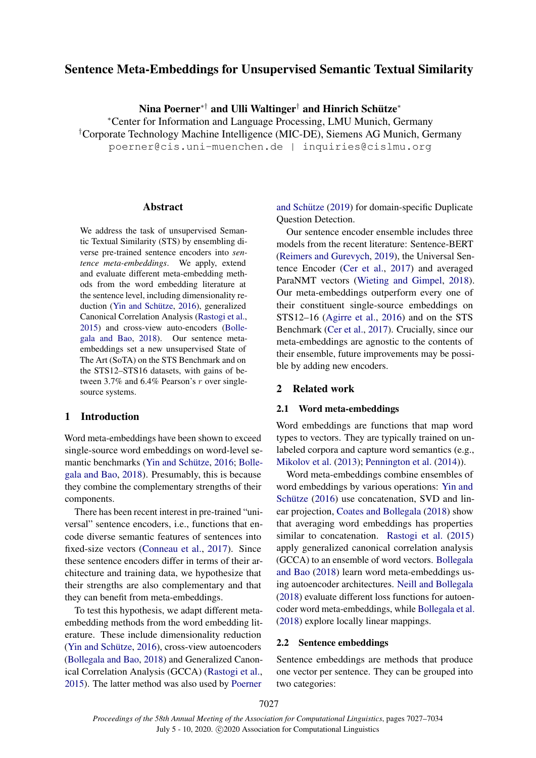# Sentence Meta-Embeddings for Unsupervised Semantic Textual Similarity

Nina Poerner\*† and Ulli Waltinger† and Hinrich Schütze\*

<sup>∗</sup>Center for Information and Language Processing, LMU Munich, Germany †Corporate Technology Machine Intelligence (MIC-DE), Siemens AG Munich, Germany poerner@cis.uni-muenchen.de | inquiries@cislmu.org

# Abstract

We address the task of unsupervised Semantic Textual Similarity (STS) by ensembling diverse pre-trained sentence encoders into *sentence meta-embeddings*. We apply, extend and evaluate different meta-embedding methods from the word embedding literature at the sentence level, including dimensionality re-duction (Yin and Schütze, [2016\)](#page-6-0), generalized Canonical Correlation Analysis [\(Rastogi et al.,](#page-5-0) [2015\)](#page-5-0) and cross-view auto-encoders [\(Bolle](#page-5-1)[gala and Bao,](#page-5-1) [2018\)](#page-5-1). Our sentence metaembeddings set a new unsupervised State of The Art (SoTA) on the STS Benchmark and on the STS12–STS16 datasets, with gains of between 3.7% and 6.4% Pearson's r over singlesource systems.

# 1 Introduction

Word meta-embeddings have been shown to exceed single-source word embeddings on word-level se-mantic benchmarks (Yin and Schütze, [2016;](#page-6-0) [Bolle](#page-5-1)[gala and Bao,](#page-5-1) [2018\)](#page-5-1). Presumably, this is because they combine the complementary strengths of their components.

There has been recent interest in pre-trained "universal" sentence encoders, i.e., functions that encode diverse semantic features of sentences into fixed-size vectors [\(Conneau et al.,](#page-5-2) [2017\)](#page-5-2). Since these sentence encoders differ in terms of their architecture and training data, we hypothesize that their strengths are also complementary and that they can benefit from meta-embeddings.

To test this hypothesis, we adapt different metaembedding methods from the word embedding literature. These include dimensionality reduction (Yin and Schütze,  $2016$ ), cross-view autoencoders [\(Bollegala and Bao,](#page-5-1) [2018\)](#page-5-1) and Generalized Canonical Correlation Analysis (GCCA) [\(Rastogi et al.,](#page-5-0) [2015\)](#page-5-0). The latter method was also used by [Poerner](#page-5-3)

and Schütze  $(2019)$  for domain-specific Duplicate Question Detection.

Our sentence encoder ensemble includes three models from the recent literature: Sentence-BERT [\(Reimers and Gurevych,](#page-6-1) [2019\)](#page-6-1), the Universal Sentence Encoder [\(Cer et al.,](#page-5-4) [2017\)](#page-5-4) and averaged ParaNMT vectors [\(Wieting and Gimpel,](#page-6-2) [2018\)](#page-6-2). Our meta-embeddings outperform every one of their constituent single-source embeddings on STS12–16 [\(Agirre et al.,](#page-5-5) [2016\)](#page-5-5) and on the STS Benchmark [\(Cer et al.,](#page-5-4) [2017\)](#page-5-4). Crucially, since our meta-embeddings are agnostic to the contents of their ensemble, future improvements may be possible by adding new encoders.

#### 2 Related work

### 2.1 Word meta-embeddings

Word embeddings are functions that map word types to vectors. They are typically trained on unlabeled corpora and capture word semantics (e.g., [Mikolov et al.](#page-5-6) [\(2013\)](#page-5-6); [Pennington et al.](#page-5-7) [\(2014\)](#page-5-7)).

Word meta-embeddings combine ensembles of word embeddings by various operations: [Yin and](#page-6-0) Schütze  $(2016)$  use concatenation, SVD and linear projection, [Coates and Bollegala](#page-5-8) [\(2018\)](#page-5-8) show that averaging word embeddings has properties similar to concatenation. [Rastogi et al.](#page-5-0) [\(2015\)](#page-5-0) apply generalized canonical correlation analysis (GCCA) to an ensemble of word vectors. [Bollegala](#page-5-1) [and Bao](#page-5-1) [\(2018\)](#page-5-1) learn word meta-embeddings using autoencoder architectures. [Neill and Bollegala](#page-5-9) [\(2018\)](#page-5-9) evaluate different loss functions for autoencoder word meta-embeddings, while [Bollegala et al.](#page-5-10) [\(2018\)](#page-5-10) explore locally linear mappings.

# 2.2 Sentence embeddings

Sentence embeddings are methods that produce one vector per sentence. They can be grouped into two categories: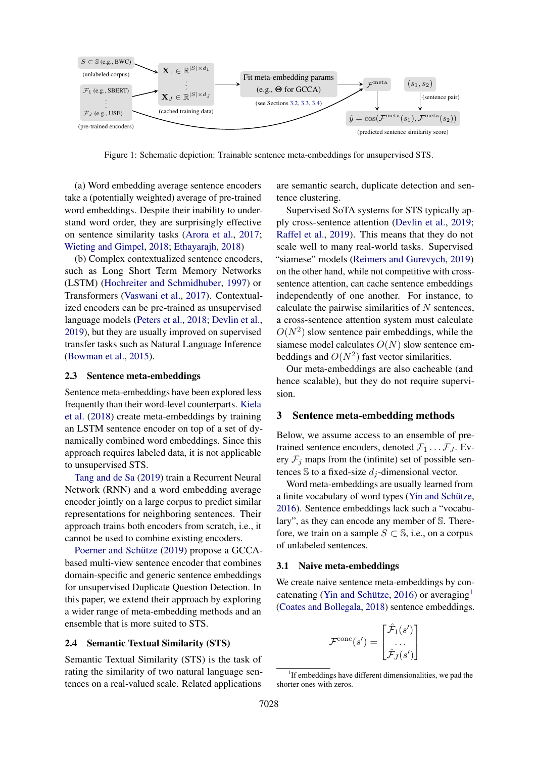

Figure 1: Schematic depiction: Trainable sentence meta-embeddings for unsupervised STS.

(a) Word embedding average sentence encoders take a (potentially weighted) average of pre-trained word embeddings. Despite their inability to understand word order, they are surprisingly effective on sentence similarity tasks [\(Arora et al.,](#page-5-11) [2017;](#page-5-11) [Wieting and Gimpel,](#page-6-2) [2018;](#page-6-2) [Ethayarajh,](#page-5-12) [2018\)](#page-5-12)

(b) Complex contextualized sentence encoders, such as Long Short Term Memory Networks (LSTM) [\(Hochreiter and Schmidhuber,](#page-5-13) [1997\)](#page-5-13) or Transformers [\(Vaswani et al.,](#page-6-3) [2017\)](#page-6-3). Contextualized encoders can be pre-trained as unsupervised language models [\(Peters et al.,](#page-5-14) [2018;](#page-5-14) [Devlin et al.,](#page-5-15) [2019\)](#page-5-15), but they are usually improved on supervised transfer tasks such as Natural Language Inference [\(Bowman et al.,](#page-5-16) [2015\)](#page-5-16).

#### 2.3 Sentence meta-embeddings

Sentence meta-embeddings have been explored less frequently than their word-level counterparts. [Kiela](#page-5-17) [et al.](#page-5-17) [\(2018\)](#page-5-17) create meta-embeddings by training an LSTM sentence encoder on top of a set of dynamically combined word embeddings. Since this approach requires labeled data, it is not applicable to unsupervised STS.

[Tang and de Sa](#page-6-4) [\(2019\)](#page-6-4) train a Recurrent Neural Network (RNN) and a word embedding average encoder jointly on a large corpus to predict similar representations for neighboring sentences. Their approach trains both encoders from scratch, i.e., it cannot be used to combine existing encoders.

Poerner and Schütze [\(2019\)](#page-5-3) propose a GCCAbased multi-view sentence encoder that combines domain-specific and generic sentence embeddings for unsupervised Duplicate Question Detection. In this paper, we extend their approach by exploring a wider range of meta-embedding methods and an ensemble that is more suited to STS.

### <span id="page-1-1"></span>2.4 Semantic Textual Similarity (STS)

Semantic Textual Similarity (STS) is the task of rating the similarity of two natural language sentences on a real-valued scale. Related applications

are semantic search, duplicate detection and sentence clustering.

Supervised SoTA systems for STS typically apply cross-sentence attention [\(Devlin et al.,](#page-5-15) [2019;](#page-5-15) [Raffel et al.,](#page-5-18) [2019\)](#page-5-18). This means that they do not scale well to many real-world tasks. Supervised "siamese" models [\(Reimers and Gurevych,](#page-6-1) [2019\)](#page-6-1) on the other hand, while not competitive with crosssentence attention, can cache sentence embeddings independently of one another. For instance, to calculate the pairwise similarities of  $N$  sentences, a cross-sentence attention system must calculate  $O(N^2)$  slow sentence pair embeddings, while the siamese model calculates  $O(N)$  slow sentence embeddings and  $O(N^2)$  fast vector similarities.

Our meta-embeddings are also cacheable (and hence scalable), but they do not require supervision.

# 3 Sentence meta-embedding methods

Below, we assume access to an ensemble of pretrained sentence encoders, denoted  $\mathcal{F}_1 \dots \mathcal{F}_J$ . Every  $\mathcal{F}_i$  maps from the (infinite) set of possible sentences  $\mathbb S$  to a fixed-size  $d_i$ -dimensional vector.

Word meta-embeddings are usually learned from a finite vocabulary of word types (Yin and Schütze, [2016\)](#page-6-0). Sentence embeddings lack such a "vocabulary", as they can encode any member of S. Therefore, we train on a sample  $S \subset \mathbb{S}$ , i.e., on a corpus of unlabeled sentences.

#### 3.1 Naive meta-embeddings

We create naive sentence meta-embeddings by con-catenating (Yin and Schütze, [2016\)](#page-6-0) or averaging<sup>[1](#page-1-0)</sup> [\(Coates and Bollegala,](#page-5-8) [2018\)](#page-5-8) sentence embeddings.

$$
\mathcal{F}^{\text{conc}}(s') = \begin{bmatrix} \hat{\mathcal{F}}_1(s') \\ \dots \\ \hat{\mathcal{F}}_J(s') \end{bmatrix}
$$

<span id="page-1-0"></span><sup>&</sup>lt;sup>1</sup>If embeddings have different dimensionalities, we pad the shorter ones with zeros.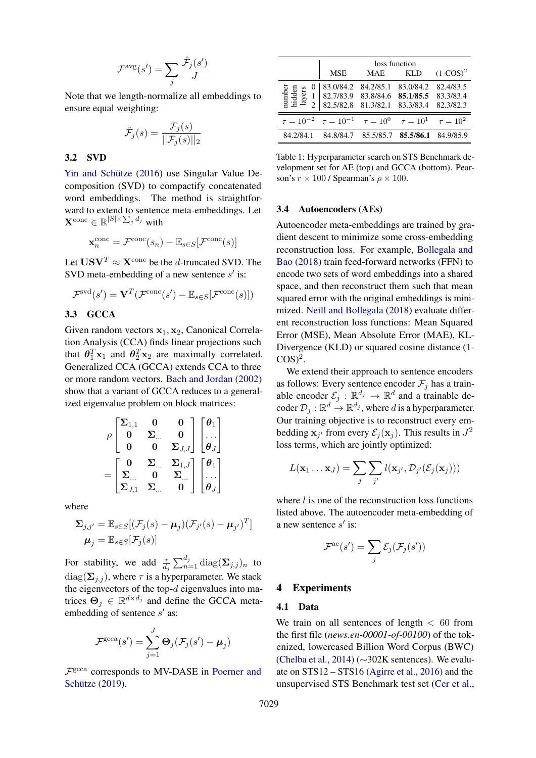$$
\mathcal{F}^{\text{avg}}(s') = \sum_{j} \frac{\hat{\mathcal{F}}_{j}(s')}{J}
$$

Note that we length-normalize all embeddings to ensure equal weighting:

$$
\hat{\mathcal{F}}_j(s) = \frac{\mathcal{F}_j(s)}{||\mathcal{F}_j(s)||_2}
$$

### <span id="page-2-0"></span>3.2 SVD

Yin and Schütze [\(2016\)](#page-6-0) use Singular Value Decomposition (SVD) to compactify concatenated word embeddings. The method is straightforward to extend to sentence meta-embeddings. Let  $\mathbf{X}^{\text{conc}} \in \mathbb{R}^{|S| \times \sum_{j} d_j}$  with

$$
\mathbf{x}_n^{\text{conc}} = \mathcal{F}^{\text{conc}}(s_n) - \mathbb{E}_{s \in S}[\mathcal{F}^{\text{conc}}(s)]
$$

Let  $USV^T \approx X^{\text{conc}}$  be the d-truncated SVD. The SVD meta-embedding of a new sentence  $s'$  is:

$$
\mathcal{F}^{\text{svd}}(s') = \mathbf{V}^T(\mathcal{F}^{\text{conc}}(s') - \mathbb{E}_{s \in S}[\mathcal{F}^{\text{conc}}(s)])
$$

# <span id="page-2-1"></span>3.3 GCCA

Given random vectors  $x_1, x_2$ , Canonical Correlation Analysis (CCA) finds linear projections such that  $\theta_1^T \mathbf{x}_1$  and  $\theta_2^T \mathbf{x}_2$  are maximally correlated. Generalized CCA (GCCA) extends CCA to three or more random vectors. [Bach and Jordan](#page-5-19) [\(2002\)](#page-5-19) show that a variant of GCCA reduces to a generalized eigenvalue problem on block matrices:

$$
\rho\begin{bmatrix} \Sigma_{1,1} & 0 & 0 \\ 0 & \Sigma_{...} & 0 \\ 0 & 0 & \Sigma_{J,J} \end{bmatrix} \begin{bmatrix} \theta_1 \\ \vdots \\ \theta_J \end{bmatrix}
$$

$$
= \begin{bmatrix} 0 & \Sigma_{...} & \Sigma_{1,J} \\ \Sigma_{...} & 0 & \Sigma_{...} \\ \Sigma_{J,1} & \Sigma_{...} & 0 \end{bmatrix} \begin{bmatrix} \theta_1 \\ \theta_J \end{bmatrix}
$$

where

$$
\Sigma_{j,j'} = \mathbb{E}_{s \in S}[(\mathcal{F}_j(s) - \boldsymbol{\mu}_j)(\mathcal{F}_{j'}(s) - \boldsymbol{\mu}_{j'})^T]
$$

$$
\boldsymbol{\mu}_j = \mathbb{E}_{s \in S}[\mathcal{F}_j(s)]
$$

For stability, we add  $\frac{\tau}{d_j} \sum_{n=1}^{d_j} \text{diag}(\Sigma_{j,j})_n$  to  $diag(\Sigma_{i,j})$ , where  $\tau$  is a hyperparameter. We stack the eigenvectors of the top- $d$  eigenvalues into matrices  $\Theta_j \in \mathbb{R}^{d \times d_j}$  and define the GCCA metaembedding of sentence  $s'$  as:

$$
\mathcal{F}^{\text{gcca}}(s') = \sum_{j=1}^{J} \mathbf{\Theta}_j(\mathcal{F}_j(s') - \boldsymbol{\mu}_j)
$$

F gcca corresponds to MV-DASE in [Poerner and](#page-5-3) Schütze [\(2019\)](#page-5-3).

<span id="page-2-3"></span>

|                                                                                   | loss function                                                                                 |                     |                                      |                        |  |  |  |
|-----------------------------------------------------------------------------------|-----------------------------------------------------------------------------------------------|---------------------|--------------------------------------|------------------------|--|--|--|
|                                                                                   | MSE                                                                                           | MAE                 | KLD                                  | $(1-COS)^2$            |  |  |  |
| number<br>hidden<br>layers                                                        | 83.0/84.2 <br>82.7/83.9 83.8/84.6 <b>85.1/85.5</b> 83.3/83.4<br>82.5/82.8 81.3/82.1 83.3/83.4 | 84.2/85.1 83.0/84.2 |                                      | 82.4/83.5<br>82.3/82.3 |  |  |  |
| $\tau = 10^{-2}$ $\tau = 10^{-1}$ $\tau = 10^{0}$ $\tau = 10^{1}$ $\tau = 10^{2}$ |                                                                                               |                     |                                      |                        |  |  |  |
| 84.2/84.1                                                                         | 84.8/84.7                                                                                     |                     | 85.5/85.7 <b>85.5/86.1</b> 84.9/85.9 |                        |  |  |  |

Table 1: Hyperparameter search on STS Benchmark development set for AE (top) and GCCA (bottom). Pearson's  $r \times 100$  / Spearman's  $\rho \times 100$ .

#### <span id="page-2-2"></span>3.4 Autoencoders (AEs)

Autoencoder meta-embeddings are trained by gradient descent to minimize some cross-embedding reconstruction loss. For example, [Bollegala and](#page-5-1) [Bao](#page-5-1) [\(2018\)](#page-5-1) train feed-forward networks (FFN) to encode two sets of word embeddings into a shared space, and then reconstruct them such that mean squared error with the original embeddings is minimized. [Neill and Bollegala](#page-5-9) [\(2018\)](#page-5-9) evaluate different reconstruction loss functions: Mean Squared Error (MSE), Mean Absolute Error (MAE), KL-Divergence (KLD) or squared cosine distance (1-  $COS)^2$ .

We extend their approach to sentence encoders as follows: Every sentence encoder  $\mathcal{F}_i$  has a trainable encoder  $\mathcal{E}_j$ :  $\mathbb{R}^{d_j} \to \mathbb{R}^d$  and a trainable decoder  $\mathcal{D}_j : \mathbb{R}^d \to \mathbb{R}^{d_j}$ , where d is a hyperparameter. Our training objective is to reconstruct every embedding  $\mathbf{x}_{j'}$  from every  $\mathcal{E}_j(\mathbf{x}_j)$ . This results in  $J^2$ loss terms, which are jointly optimized:

$$
L(\mathbf{x}_1 \dots \mathbf{x}_J) = \sum_j \sum_{j'} l(\mathbf{x}_{j'}, \mathcal{D}_{j'}(\mathcal{E}_j(\mathbf{x}_j)))
$$

where  $l$  is one of the reconstruction loss functions listed above. The autoencoder meta-embedding of a new sentence  $s'$  is:

$$
\mathcal{F}^{\text{ae}}(s') = \sum_{j} \mathcal{E}_{j}(\mathcal{F}_{j}(s'))
$$

### 4 Experiments

# 4.1 Data

We train on all sentences of length  $< 60$  from the first file (*news.en-00001-of-00100*) of the tokenized, lowercased Billion Word Corpus (BWC) [\(Chelba et al.,](#page-5-20) [2014\)](#page-5-20) (∼302K sentences). We evaluate on STS12 – STS16 [\(Agirre et al.,](#page-5-5) [2016\)](#page-5-5) and the unsupervised STS Benchmark test set [\(Cer et al.,](#page-5-4)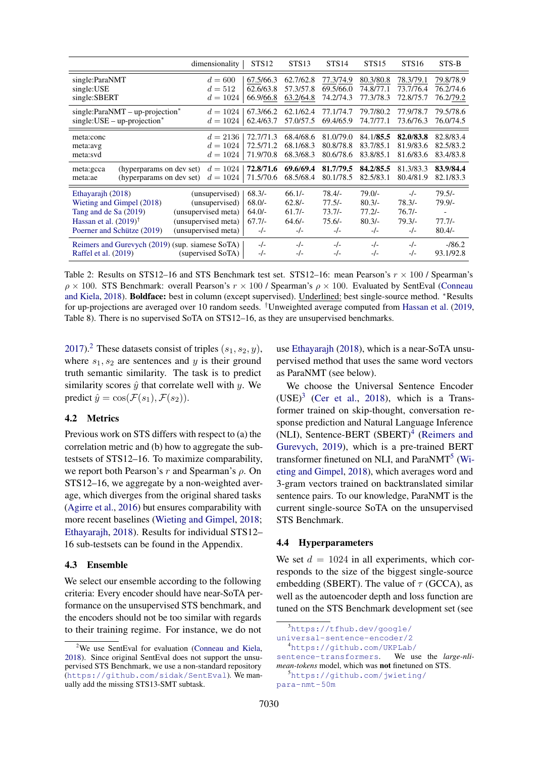<span id="page-3-4"></span>

|                                                                                                                                           | dimensionality                                                                                        | STS <sub>12</sub>                                     | STS <sub>13</sub>                                     | STS <sub>14</sub>                                     | STS <sub>15</sub>                                     | STS <sub>16</sub>                                  | STS-B                                        |
|-------------------------------------------------------------------------------------------------------------------------------------------|-------------------------------------------------------------------------------------------------------|-------------------------------------------------------|-------------------------------------------------------|-------------------------------------------------------|-------------------------------------------------------|----------------------------------------------------|----------------------------------------------|
| single:ParaNMT<br>single:USE<br>single:SBERT                                                                                              | $d = 600$<br>$d = 512$<br>$d = 1024$                                                                  | 67.5/66.3<br>62.6/63.8<br>66.9/66.8                   | 62.7/62.8<br>57.3/57.8<br>63.2/64.8                   | 77.3/74.9<br>69.5/66.0<br>74.2/74.3                   | 80.3/80.8<br>74.8/77.1<br>77.3/78.3                   | 78.3/79.1<br>73.7/76.4<br>72.8/75.7                | 79.8/78.9<br>76.2/74.6<br>76.2/79.2          |
| single:ParaNMT - up-projection*<br>$single:USE-up-projection*$                                                                            | $d = 1024$<br>$d = 1024$                                                                              | 67.3/66.2<br>62.4/63.7                                | 62.1/62.4<br>57.0/57.5                                | 77.1/74.7<br>69.4/65.9                                | 79.7/80.2<br>74.7/77.1                                | 77.9/78.7<br>73.6/76.3                             | 79.5/78.6<br>76.0/74.5                       |
| meta:conc<br>meta:avg<br>meta:svd                                                                                                         | $d = 2136$<br>1024<br>$d =$<br>$d = 1024$                                                             | 72.7/71.3<br>72.5/71.2<br>71.9/70.8                   | 68.4/68.6<br>68.1/68.3<br>68.3/68.3                   | 81.0/79.0<br>80.8/78.8<br>80.6/78.6                   | 84.1/85.5<br>83.7/85.1<br>83.8/85.1                   | 82.0/83.8<br>81.9/83.6<br>81.6/83.6                | 82.8/83.4<br>82.5/83.2<br>83.4/83.8          |
| (hyperparams on dev set)<br>meta:gcca<br>(hyperparams on dev set)<br>meta:ae                                                              | $d = 1024$<br>$d = 1024$                                                                              | 72.8/71.6<br>71.5/70.6                                | 69.6/69.4<br>68.5/68.4                                | 81.7/79.5<br>80.1/78.5                                | 84.2/85.5<br>82.5/83.1                                | 81.3/83.3<br>80.4/81.9                             | 83.9/84.4<br>82.1/83.3                       |
| Ethayarajh (2018)<br>Wieting and Gimpel (2018)<br>Tang and de Sa (2019)<br>Hassan et al. $(2019)^{\dagger}$<br>Poerner and Schütze (2019) | (unsupervised)<br>(unsupervised)<br>(unsupervised meta)<br>(unsupervised meta)<br>(unsupervised meta) | $68.3/-$<br>$68.0/-$<br>$64.0/-$<br>$67.7/-$<br>$-/-$ | $66.1/-$<br>$62.8/-$<br>$61.7/-$<br>$64.6/-$<br>$-/-$ | $78.4/-$<br>$77.5/-$<br>$73.7/-$<br>$75.6/-$<br>$-/-$ | $79.0/-$<br>$80.3/-$<br>$77.2/-$<br>$80.3/-$<br>$-/-$ | $-/-$<br>$78.3/-$<br>$76.7/-$<br>$79.3/-$<br>$-/-$ | $79.5/-$<br>$79.9/-$<br>$77.7/-$<br>$80.4/-$ |
| Reimers and Gurevych (2019) (sup. siamese SoTA)<br>(supervised SoTA)<br>Raffel et al. (2019)                                              |                                                                                                       | $-/-$<br>$-/-$                                        | $-/-$<br>$-/-$                                        | $-/-$<br>$-/-$                                        | $-/-$<br>$-/-$                                        | $-/-$<br>$-/-$                                     | $-186.2$<br>93.1/92.8                        |

Table 2: Results on STS12–16 and STS Benchmark test set. STS12–16: mean Pearson's  $r \times 100$  / Spearman's  $\rho \times 100$ . STS Benchmark: overall Pearson's  $r \times 100$  / Spearman's  $\rho \times 100$ . Evaluated by SentEval [\(Conneau](#page-5-22) [and Kiela,](#page-5-22) [2018\)](#page-5-22). Boldface: best in column (except supervised). Underlined: best single-source method. <sup>∗</sup>Results for up-projections are averaged over 10 random seeds. †Unweighted average computed from [Hassan et al.](#page-5-21) [\(2019,](#page-5-21) Table 8). There is no supervised SoTA on STS12–16, as they are unsupervised benchmarks.

[2017\)](#page-5-4).<sup>[2](#page-3-0)</sup> These datasets consist of triples  $(s_1, s_2, y)$ , where  $s_1, s_2$  are sentences and y is their ground truth semantic similarity. The task is to predict similarity scores  $\hat{y}$  that correlate well with y. We predict  $\hat{y} = \cos(\mathcal{F}(s_1), \mathcal{F}(s_2)).$ 

# 4.2 Metrics

Previous work on STS differs with respect to (a) the correlation metric and (b) how to aggregate the subtestsets of STS12–16. To maximize comparability, we report both Pearson's  $r$  and Spearman's  $\rho$ . On STS12–16, we aggregate by a non-weighted average, which diverges from the original shared tasks [\(Agirre et al.,](#page-5-5) [2016\)](#page-5-5) but ensures comparability with more recent baselines [\(Wieting and Gimpel,](#page-6-2) [2018;](#page-6-2) [Ethayarajh,](#page-5-12) [2018\)](#page-5-12). Results for individual STS12– 16 sub-testsets can be found in the Appendix.

#### 4.3 Ensemble

We select our ensemble according to the following criteria: Every encoder should have near-SoTA performance on the unsupervised STS benchmark, and the encoders should not be too similar with regards to their training regime. For instance, we do not

use [Ethayarajh](#page-5-12) [\(2018\)](#page-5-12), which is a near-SoTA unsupervised method that uses the same word vectors as ParaNMT (see below).

We choose the Universal Sentence Encoder  $(USE)^3$  $(USE)^3$  [\(Cer et al.,](#page-5-23) [2018\)](#page-5-23), which is a Transformer trained on skip-thought, conversation response prediction and Natural Language Inference (NLI), Sentence-BERT (SBERT)<sup>[4](#page-3-2)</sup> [\(Reimers and](#page-6-1) [Gurevych,](#page-6-1) [2019\)](#page-6-1), which is a pre-trained BERT transformer finetuned on NLI, and ParaNMT<sup>[5](#page-3-3)</sup> [\(Wi](#page-6-2)[eting and Gimpel,](#page-6-2) [2018\)](#page-6-2), which averages word and 3-gram vectors trained on backtranslated similar sentence pairs. To our knowledge, ParaNMT is the current single-source SoTA on the unsupervised STS Benchmark.

#### 4.4 Hyperparameters

We set  $d = 1024$  in all experiments, which corresponds to the size of the biggest single-source embedding (SBERT). The value of  $\tau$  (GCCA), as well as the autoencoder depth and loss function are tuned on the STS Benchmark development set (see

<span id="page-3-3"></span><sup>5</sup>[https://github.com/jwieting/](https://github.com/jwieting/para-nmt-50m)

```
para-nmt-50m
```
<span id="page-3-0"></span><sup>&</sup>lt;sup>2</sup>We use SentEval for evaluation [\(Conneau and Kiela,](#page-5-22) [2018\)](#page-5-22). Since original SentEval does not support the unsupervised STS Benchmark, we use a non-standard repository (<https://github.com/sidak/SentEval>). We manually add the missing STS13-SMT subtask.

<span id="page-3-1"></span><sup>3</sup>[https://tfhub.dev/google/](https://tfhub.dev/google/universal-sentence-encoder/2)

[universal-sentence-encoder/2](https://tfhub.dev/google/universal-sentence-encoder/2)

<span id="page-3-2"></span><sup>4</sup>[https://github.com/UKPLab/](https://github.com/UKPLab/sentence-transformers) [sentence-transformers](https://github.com/UKPLab/sentence-transformers). We use the *large-nlimean-tokens* model, which was not finetuned on STS.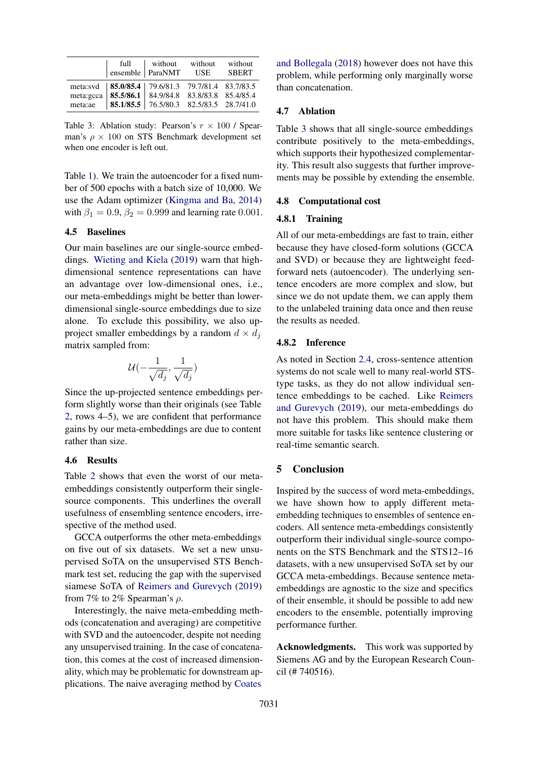<span id="page-4-0"></span>

|                      | full | without without<br>ensemble   ParaNMT USE                                                                                                                                  | without<br><b>SBERT</b> |
|----------------------|------|----------------------------------------------------------------------------------------------------------------------------------------------------------------------------|-------------------------|
| meta:gcca<br>meta:ae |      | meta:svd   85.0/85.4   79.6/81.3 79.7/81.4 83.7/83.5<br>$\vert$ 85.5/86.1 $\vert$ 84.9/84.8 83.8/83.8 85.4/85.4<br>$\vert$ 85.1/85.5 $\vert$ 76.5/80.3 82.5/83.5 28.7/41.0 |                         |

Table 3: Ablation study: Pearson's  $r \times 100$  / Spearman's  $\rho \times 100$  on STS Benchmark development set when one encoder is left out.

Table [1\)](#page-2-3). We train the autoencoder for a fixed number of 500 epochs with a batch size of 10,000. We use the Adam optimizer [\(Kingma and Ba,](#page-5-24) [2014\)](#page-5-24) with  $\beta_1 = 0.9, \beta_2 = 0.999$  and learning rate 0.001.

## 4.5 Baselines

Our main baselines are our single-source embeddings. [Wieting and Kiela](#page-6-5) [\(2019\)](#page-6-5) warn that highdimensional sentence representations can have an advantage over low-dimensional ones, i.e., our meta-embeddings might be better than lowerdimensional single-source embeddings due to size alone. To exclude this possibility, we also upproject smaller embeddings by a random  $d \times d_i$ matrix sampled from:

$$
\mathcal{U}(-\frac{1}{\sqrt{d_j}},\frac{1}{\sqrt{d_j}})
$$

Since the up-projected sentence embeddings perform slightly worse than their originals (see Table [2,](#page-3-4) rows 4–5), we are confident that performance gains by our meta-embeddings are due to content rather than size.

### 4.6 Results

Table [2](#page-3-4) shows that even the worst of our metaembeddings consistently outperform their singlesource components. This underlines the overall usefulness of ensembling sentence encoders, irrespective of the method used.

GCCA outperforms the other meta-embeddings on five out of six datasets. We set a new unsupervised SoTA on the unsupervised STS Benchmark test set, reducing the gap with the supervised siamese SoTA of [Reimers and Gurevych](#page-6-1) [\(2019\)](#page-6-1) from 7% to 2% Spearman's  $\rho$ .

Interestingly, the naive meta-embedding methods (concatenation and averaging) are competitive with SVD and the autoencoder, despite not needing any unsupervised training. In the case of concatenation, this comes at the cost of increased dimensionality, which may be problematic for downstream applications. The naive averaging method by [Coates](#page-5-8) [and Bollegala](#page-5-8) [\(2018\)](#page-5-8) however does not have this problem, while performing only marginally worse than concatenation.

#### 4.7 Ablation

Table [3](#page-4-0) shows that all single-source embeddings contribute positively to the meta-embeddings, which supports their hypothesized complementarity. This result also suggests that further improvements may be possible by extending the ensemble.

### 4.8 Computational cost

#### 4.8.1 Training

All of our meta-embeddings are fast to train, either because they have closed-form solutions (GCCA and SVD) or because they are lightweight feedforward nets (autoencoder). The underlying sentence encoders are more complex and slow, but since we do not update them, we can apply them to the unlabeled training data once and then reuse the results as needed.

#### 4.8.2 Inference

As noted in Section [2.4,](#page-1-1) cross-sentence attention systems do not scale well to many real-world STStype tasks, as they do not allow individual sentence embeddings to be cached. Like [Reimers](#page-6-1) [and Gurevych](#page-6-1) [\(2019\)](#page-6-1), our meta-embeddings do not have this problem. This should make them more suitable for tasks like sentence clustering or real-time semantic search.

# 5 Conclusion

Inspired by the success of word meta-embeddings, we have shown how to apply different metaembedding techniques to ensembles of sentence encoders. All sentence meta-embeddings consistently outperform their individual single-source components on the STS Benchmark and the STS12–16 datasets, with a new unsupervised SoTA set by our GCCA meta-embeddings. Because sentence metaembeddings are agnostic to the size and specifics of their ensemble, it should be possible to add new encoders to the ensemble, potentially improving performance further.

Acknowledgments. This work was supported by Siemens AG and by the European Research Council (# 740516).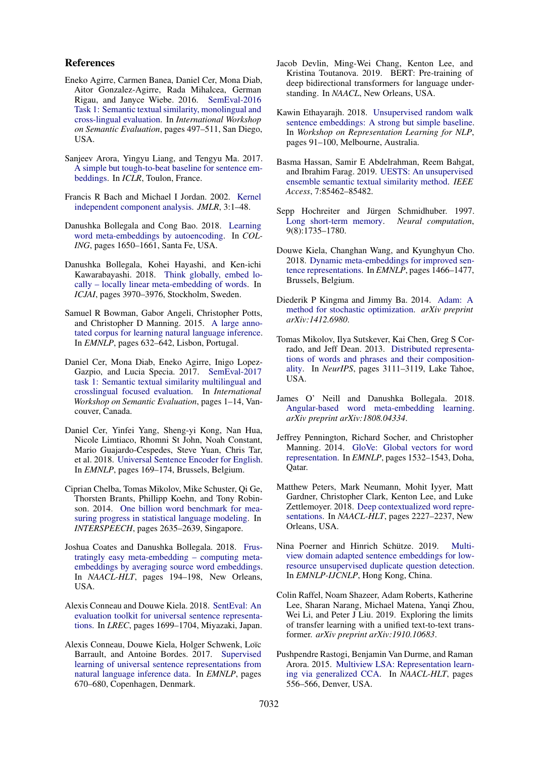### References

- <span id="page-5-5"></span>Eneko Agirre, Carmen Banea, Daniel Cer, Mona Diab, Aitor Gonzalez-Agirre, Rada Mihalcea, German Rigau, and Janyce Wiebe. 2016. [SemEval-2016](https://doi.org/https://doi.org/10.18653/v1/s16-1081) [Task 1: Semantic textual similarity, monolingual and](https://doi.org/https://doi.org/10.18653/v1/s16-1081) [cross-lingual evaluation.](https://doi.org/https://doi.org/10.18653/v1/s16-1081) In *International Workshop on Semantic Evaluation*, pages 497–511, San Diego, USA.
- <span id="page-5-11"></span>Sanjeev Arora, Yingyu Liang, and Tengyu Ma. 2017. [A simple but tough-to-beat baseline for sentence em](https://pdfs.semanticscholar.org/3fc9/7768dc0b36449ec377d6a4cad8827908d5b4.pdf)[beddings.](https://pdfs.semanticscholar.org/3fc9/7768dc0b36449ec377d6a4cad8827908d5b4.pdf) In *ICLR*, Toulon, France.
- <span id="page-5-19"></span>Francis R Bach and Michael I Jordan. 2002. [Kernel](http://www.jmlr.org/papers/v3/bach02a) [independent component analysis.](http://www.jmlr.org/papers/v3/bach02a) *JMLR*, 3:1–48.
- <span id="page-5-1"></span>Danushka Bollegala and Cong Bao. 2018. [Learning](https://www.aclweb.org/anthology/C18-1140) [word meta-embeddings by autoencoding.](https://www.aclweb.org/anthology/C18-1140) In *COL-ING*, pages 1650–1661, Santa Fe, USA.
- <span id="page-5-10"></span>Danushka Bollegala, Kohei Hayashi, and Ken-ichi Kawarabayashi. 2018. [Think globally, embed lo](https://doi.org/https://doi.org/10.24963/ijcai.2018/552)[cally – locally linear meta-embedding of words.](https://doi.org/https://doi.org/10.24963/ijcai.2018/552) In *ICJAI*, pages 3970–3976, Stockholm, Sweden.
- <span id="page-5-16"></span>Samuel R Bowman, Gabor Angeli, Christopher Potts, and Christopher D Manning. 2015. [A large anno](https://doi.org/https://doi.org/10.18653/v1/d15-1075)[tated corpus for learning natural language inference.](https://doi.org/https://doi.org/10.18653/v1/d15-1075) In *EMNLP*, pages 632–642, Lisbon, Portugal.
- <span id="page-5-4"></span>Daniel Cer, Mona Diab, Eneko Agirre, Inigo Lopez-Gazpio, and Lucia Specia. 2017. [SemEval-2017](https://doi.org/https://doi.org/10.18653/v1/s17-2001) [task 1: Semantic textual similarity multilingual and](https://doi.org/https://doi.org/10.18653/v1/s17-2001) [crosslingual focused evaluation.](https://doi.org/https://doi.org/10.18653/v1/s17-2001) In *International Workshop on Semantic Evaluation*, pages 1–14, Vancouver, Canada.
- <span id="page-5-23"></span>Daniel Cer, Yinfei Yang, Sheng-yi Kong, Nan Hua, Nicole Limtiaco, Rhomni St John, Noah Constant, Mario Guajardo-Cespedes, Steve Yuan, Chris Tar, et al. 2018. [Universal Sentence Encoder for English.](https://www.aclweb.org/anthology/D18-2029) In *EMNLP*, pages 169–174, Brussels, Belgium.
- <span id="page-5-20"></span>Ciprian Chelba, Tomas Mikolov, Mike Schuster, Qi Ge, Thorsten Brants, Phillipp Koehn, and Tony Robinson. 2014. [One billion word benchmark for mea](https://www.isca-speech.org/archive/interspeech_2014/i14_2635)[suring progress in statistical language modeling.](https://www.isca-speech.org/archive/interspeech_2014/i14_2635) In *INTERSPEECH*, pages 2635–2639, Singapore.
- <span id="page-5-8"></span>Joshua Coates and Danushka Bollegala. 2018. [Frus](https://doi.org/https://doi.org/10.18653/v1/n18-2031)[tratingly easy meta-embedding – computing meta](https://doi.org/https://doi.org/10.18653/v1/n18-2031)[embeddings by averaging source word embeddings.](https://doi.org/https://doi.org/10.18653/v1/n18-2031) In *NAACL-HLT*, pages 194–198, New Orleans, USA.
- <span id="page-5-22"></span>Alexis Conneau and Douwe Kiela. 2018. [SentEval: An](https://www.aclweb.org/anthology/L18-1269) [evaluation toolkit for universal sentence representa](https://www.aclweb.org/anthology/L18-1269)[tions.](https://www.aclweb.org/anthology/L18-1269) In *LREC*, pages 1699–1704, Miyazaki, Japan.
- <span id="page-5-2"></span>Alexis Conneau, Douwe Kiela, Holger Schwenk, Loïc Barrault, and Antoine Bordes. 2017. [Supervised](https://doi.org/https://doi.org/10.18653/v1/d17-1070) [learning of universal sentence representations from](https://doi.org/https://doi.org/10.18653/v1/d17-1070) [natural language inference data.](https://doi.org/https://doi.org/10.18653/v1/d17-1070) In *EMNLP*, pages 670–680, Copenhagen, Denmark.
- <span id="page-5-15"></span>Jacob Devlin, Ming-Wei Chang, Kenton Lee, and Kristina Toutanova. 2019. BERT: Pre-training of deep bidirectional transformers for language understanding. In *NAACL*, New Orleans, USA.
- <span id="page-5-12"></span>Kawin Ethayarajh. 2018. [Unsupervised random walk](https://www.aclweb.org/anthology/W18-3012) [sentence embeddings: A strong but simple baseline.](https://www.aclweb.org/anthology/W18-3012) In *Workshop on Representation Learning for NLP*, pages 91–100, Melbourne, Australia.
- <span id="page-5-21"></span>Basma Hassan, Samir E Abdelrahman, Reem Bahgat, and Ibrahim Farag. 2019. [UESTS: An unsupervised](https://doi.org/10.1109/ACCESS.2019.2925006) [ensemble semantic textual similarity method.](https://doi.org/10.1109/ACCESS.2019.2925006) *IEEE Access*, 7:85462–85482.
- <span id="page-5-13"></span>Sepp Hochreiter and Jürgen Schmidhuber. 1997. [Long short-term memory.](https://doi.org/https://doi.org/10.1162/neco.1997.9.8.1735) *Neural computation*, 9(8):1735–1780.
- <span id="page-5-17"></span>Douwe Kiela, Changhan Wang, and Kyunghyun Cho. 2018. [Dynamic meta-embeddings for improved sen](https://www.aclweb.org/anthology/D18-1176)[tence representations.](https://www.aclweb.org/anthology/D18-1176) In *EMNLP*, pages 1466–1477, Brussels, Belgium.
- <span id="page-5-24"></span>Diederik P Kingma and Jimmy Ba. 2014. [Adam: A](https://arxiv.org/pdf/1412.6980) [method for stochastic optimization.](https://arxiv.org/pdf/1412.6980) *arXiv preprint arXiv:1412.6980*.
- <span id="page-5-6"></span>Tomas Mikolov, Ilya Sutskever, Kai Chen, Greg S Corrado, and Jeff Dean. 2013. [Distributed representa](http://papers.nips.cc/paper/5021-distributed-representations-of-words-and-phrases-and-their-compositionality)[tions of words and phrases and their composition](http://papers.nips.cc/paper/5021-distributed-representations-of-words-and-phrases-and-their-compositionality)[ality.](http://papers.nips.cc/paper/5021-distributed-representations-of-words-and-phrases-and-their-compositionality) In *NeurIPS*, pages 3111–3119, Lake Tahoe, USA.
- <span id="page-5-9"></span>James O' Neill and Danushka Bollegala. 2018. [Angular-based word meta-embedding learning.](https://arxiv.org/pdf/1808.04334) *arXiv preprint arXiv:1808.04334*.
- <span id="page-5-7"></span>Jeffrey Pennington, Richard Socher, and Christopher Manning. 2014. [GloVe: Global vectors for word](https://doi.org/10.3115/v1/D14-1162) [representation.](https://doi.org/10.3115/v1/D14-1162) In *EMNLP*, pages 1532–1543, Doha, Qatar.
- <span id="page-5-14"></span>Matthew Peters, Mark Neumann, Mohit Iyyer, Matt Gardner, Christopher Clark, Kenton Lee, and Luke Zettlemoyer. 2018. [Deep contextualized word repre](https://doi.org/10.18653/v1/N18-1202)[sentations.](https://doi.org/10.18653/v1/N18-1202) In *NAACL-HLT*, pages 2227–2237, New Orleans, USA.
- <span id="page-5-3"></span>Nina Poerner and Hinrich Schütze. 2019. [Multi](https://doi.org/10.18653/v1/d19-1173)[view domain adapted sentence embeddings for low](https://doi.org/10.18653/v1/d19-1173)[resource unsupervised duplicate question detection.](https://doi.org/10.18653/v1/d19-1173) In *EMNLP-IJCNLP*, Hong Kong, China.
- <span id="page-5-18"></span>Colin Raffel, Noam Shazeer, Adam Roberts, Katherine Lee, Sharan Narang, Michael Matena, Yanqi Zhou, Wei Li, and Peter J Liu. 2019. Exploring the limits of transfer learning with a unified text-to-text transformer. *arXiv preprint arXiv:1910.10683*.
- <span id="page-5-0"></span>Pushpendre Rastogi, Benjamin Van Durme, and Raman Arora. 2015. [Multiview LSA: Representation learn](https://doi.org/https://doi.org/10.3115/v1/n15-1058)[ing via generalized CCA.](https://doi.org/https://doi.org/10.3115/v1/n15-1058) In *NAACL-HLT*, pages 556–566, Denver, USA.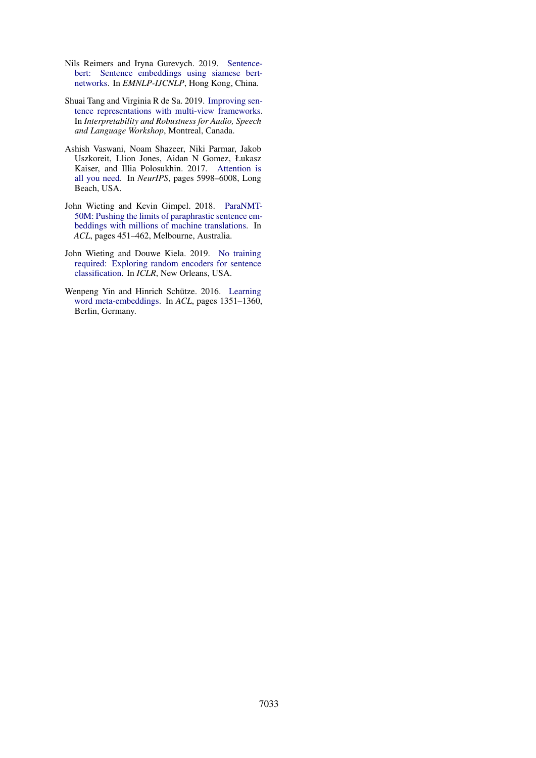- <span id="page-6-1"></span>Nils Reimers and Iryna Gurevych. 2019. [Sentence](https://doi.org/10.18653/v1/d19-1410)[bert: Sentence embeddings using siamese bert](https://doi.org/10.18653/v1/d19-1410)[networks.](https://doi.org/10.18653/v1/d19-1410) In *EMNLP-IJCNLP*, Hong Kong, China.
- <span id="page-6-4"></span>Shuai Tang and Virginia R de Sa. 2019. [Improving sen](https://arxiv.org/pdf/1805.07443)[tence representations with multi-view frameworks.](https://arxiv.org/pdf/1805.07443) In *Interpretability and Robustness for Audio, Speech and Language Workshop*, Montreal, Canada.
- <span id="page-6-3"></span>Ashish Vaswani, Noam Shazeer, Niki Parmar, Jakob Uszkoreit, Llion Jones, Aidan N Gomez, Łukasz Kaiser, and Illia Polosukhin. 2017. [Attention is](https://papers.nips.cc/paper/7181-attention-is-all-you-need) [all you need.](https://papers.nips.cc/paper/7181-attention-is-all-you-need) In *NeurIPS*, pages 5998–6008, Long Beach, USA.
- <span id="page-6-2"></span>John Wieting and Kevin Gimpel. 2018. [ParaNMT-](https://www.aclweb.org/anthology/P18-1042)[50M: Pushing the limits of paraphrastic sentence em](https://www.aclweb.org/anthology/P18-1042)[beddings with millions of machine translations.](https://www.aclweb.org/anthology/P18-1042) In *ACL*, pages 451–462, Melbourne, Australia.
- <span id="page-6-5"></span>John Wieting and Douwe Kiela. 2019. [No training](https://arxiv.org/abs/1901.10444) [required: Exploring random encoders for sentence](https://arxiv.org/abs/1901.10444) [classification.](https://arxiv.org/abs/1901.10444) In *ICLR*, New Orleans, USA.
- <span id="page-6-0"></span>Wenpeng Yin and Hinrich Schütze. 2016. [Learning](https://doi.org/https://doi.org/10.18653/v1/p16-1128) [word meta-embeddings.](https://doi.org/https://doi.org/10.18653/v1/p16-1128) In *ACL*, pages 1351–1360, Berlin, Germany.